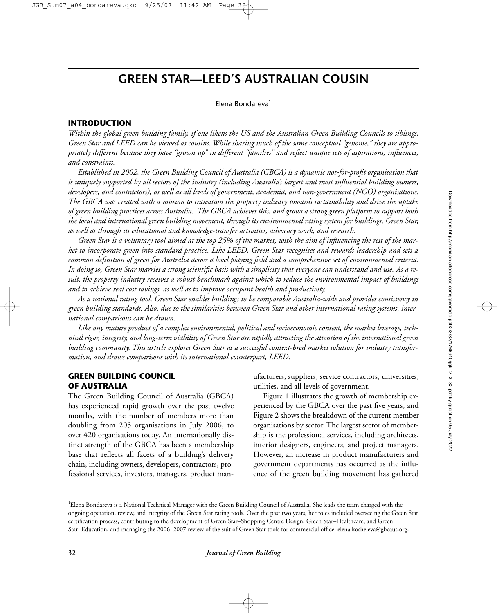# **GREEN STAR—LEED'S AUSTRALIAN COUSIN**

Elena Bondareva<sup>1</sup>

## **INTRODUCTION**

*Within the global green building family, if one likens the US and the Australian Green Building Councils to siblings, Green Star and LEED can be viewed as cousins. While sharing much of the same conceptual "genome," they are appropriately different because they have "grown up" in different "families" and reflect unique sets of aspirations, influences, and constraints.* 

*Established in 2002, the Green Building Council of Australia (GBCA) is a dynamic not-for-profit organisation that is uniquely supported by all sectors of the industry (including Australia's largest and most influential building owners, developers, and contractors), as well as all levels of government, academia, and non-government (NGO) organisations. The GBCA was created with a mission to transition the property industry towards sustainability and drive the uptake of green building practices across Australia. The GBCA achieves this, and grows a strong green platform to support both the local and international green building movement, through its environmental rating system for buildings, Green Star, as well as through its educational and knowledge-transfer activities, advocacy work, and research.*

*Green Star is a voluntary tool aimed at the top 25% of the market, with the aim of influencing the rest of the market to incorporate green into standard practice. Like LEED, Green Star recognises and rewards leadership and sets a common definition of green for Australia across a level playing field and a comprehensive set of environmental criteria. In doing so, Green Star marries a strong scientific basis with a simplicity that everyone can understand and use. As a result, the property industry receives a robust benchmark against which to reduce the environmental impact of buildings and to achieve real cost savings, as well as to improve occupant health and productivity.* 

*As a national rating tool, Green Star enables buildings to be comparable Australia-wide and provides consistency in green building standards. Also, due to the similarities between Green Star and other international rating systems, international comparisons can be drawn.* 

*Like any mature product of a complex environmental, political and socioeconomic context, the market leverage, technical rigor, integrity, and long-term viability of Green Star are rapidly attracting the attention of the international green building community. This article explores Green Star as a successful context-bred market solution for industry transformation, and draws comparisons with its international counterpart, LEED.*

## **GREEN BUILDING COUNCIL OF AUSTRALIA**

The Green Building Council of Australia (GBCA) has experienced rapid growth over the past twelve months, with the number of members more than doubling from 205 organisations in July 2006, to over 420 organisations today. An internationally distinct strength of the GBCA has been a membership base that reflects all facets of a building's delivery chain, including owners, developers, contractors, professional services, investors, managers, product manufacturers, suppliers, service contractors, universities, utilities, and all levels of government.

Figure 1 illustrates the growth of membership experienced by the GBCA over the past five years, and Figure 2 shows the breakdown of the current member organisations by sector. The largest sector of membership is the professional services, including architects, interior designers, engineers, and project managers. However, an increase in product manufacturers and government departments has occurred as the influence of the green building movement has gathered

<sup>&</sup>lt;sup>1</sup>Elena Bondareva is a National Technical Manager with the Green Building Council of Australia. She leads the team charged with the ongoing operation, review, and integrity of the Green Star rating tools. Over the past two years, her roles included overseeing the Green Star certification process, contributing to the development of Green Star–Shopping Centre Design, Green Star–Healthcare, and Green Star–Education, and managing the 2006–2007 review of the suit of Green Star tools for commercial office, elena.kosheleva@gbcaus.org.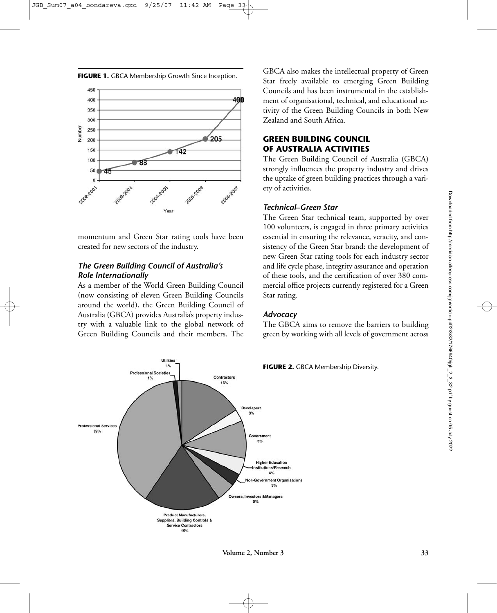

momentum and Green Star rating tools have been created for new sectors of the industry.

## *The Green Building Council of Australia's Role Internationally*

As a member of the World Green Building Council (now consisting of eleven Green Building Councils around the world), the Green Building Council of Australia (GBCA) provides Australia's property industry with a valuable link to the global network of Green Building Councils and their members. The

GBCA also makes the intellectual property of Green Star freely available to emerging Green Building Councils and has been instrumental in the establishment of organisational, technical, and educational activity of the Green Building Councils in both New Zealand and South Africa.

# **GREEN BUILDING COUNCIL OF AUSTRALIA ACTIVITIES**

The Green Building Council of Australia (GBCA) strongly influences the property industry and drives the uptake of green building practices through a variety of activities.

## *Technical–Green Star*

The Green Star technical team, supported by over 100 volunteers, is engaged in three primary activities essential in ensuring the relevance, veracity, and consistency of the Green Star brand: the development of new Green Star rating tools for each industry sector and life cycle phase, integrity assurance and operation of these tools, and the certification of over 380 commercial office projects currently registered for a Green Star rating.

## *Advocacy*

The GBCA aims to remove the barriers to building green by working with all levels of government across



## **FIGURE 1.** GBCA Membership Growth Since Inception.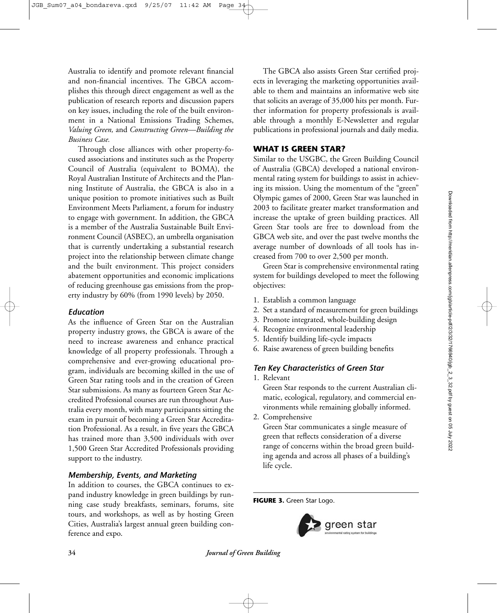Australia to identify and promote relevant financial and non-financial incentives. The GBCA accomplishes this through direct engagement as well as the publication of research reports and discussion papers on key issues, including the role of the built environment in a National Emissions Trading Schemes, *Valuing Green,* and *Constructing Green—Building the Business Case.*

Through close alliances with other property-focused associations and institutes such as the Property Council of Australia (equivalent to BOMA), the Royal Australian Institute of Architects and the Planning Institute of Australia, the GBCA is also in a unique position to promote initiatives such as Built Environment Meets Parliament, a forum for industry to engage with government. In addition, the GBCA is a member of the Australia Sustainable Built Environment Council (ASBEC), an umbrella organisation that is currently undertaking a substantial research project into the relationship between climate change and the built environment. This project considers abatement opportunities and economic implications of reducing greenhouse gas emissions from the property industry by 60% (from 1990 levels) by 2050.

# *Education*

As the influence of Green Star on the Australian property industry grows, the GBCA is aware of the need to increase awareness and enhance practical knowledge of all property professionals. Through a comprehensive and ever-growing educational program, individuals are becoming skilled in the use of Green Star rating tools and in the creation of Green Star submissions. As many as fourteen Green Star Accredited Professional courses are run throughout Australia every month, with many participants sitting the exam in pursuit of becoming a Green Star Accreditation Professional. As a result, in five years the GBCA has trained more than 3,500 individuals with over 1,500 Green Star Accredited Professionals providing support to the industry.

## *Membership, Events, and Marketing*

In addition to courses, the GBCA continues to expand industry knowledge in green buildings by running case study breakfasts, seminars, forums, site tours, and workshops, as well as by hosting Green Cities, Australia's largest annual green building conference and expo.

The GBCA also assists Green Star certified projects in leveraging the marketing opportunities available to them and maintains an informative web site that solicits an average of 35,000 hits per month. Further information for property professionals is available through a monthly E-Newsletter and regular publications in professional journals and daily media.

## **WHAT IS GREEN STAR?**

Similar to the USGBC, the Green Building Council of Australia (GBCA) developed a national environmental rating system for buildings to assist in achieving its mission. Using the momentum of the "green" Olympic games of 2000, Green Star was launched in 2003 to facilitate greater market transformation and increase the uptake of green building practices. All Green Star tools are free to download from the GBCA web site, and over the past twelve months the average number of downloads of all tools has increased from 700 to over 2,500 per month.

Green Star is comprehensive environmental rating system for buildings developed to meet the following objectives:

- 1. Establish a common language
- 2. Set a standard of measurement for green buildings
- 3. Promote integrated, whole-building design
- 4. Recognize environmental leadership
- 5. Identify building life-cycle impacts
- 6. Raise awareness of green building benefits

# *Ten Key Characteristics of Green Star*

1. Relevant

Green Star responds to the current Australian climatic, ecological, regulatory, and commercial environments while remaining globally informed.

2. Comprehensive

Green Star communicates a single measure of green that reflects consideration of a diverse range of concerns within the broad green building agenda and across all phases of a building's life cycle.

**FIGURE 3.** Green Star Logo.



**34** *Journal of Green Building*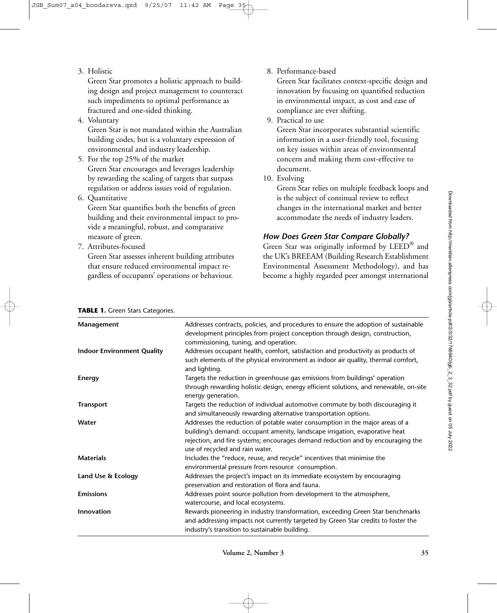3. Holistic

Green Star promotes a holistic approach to building design and project management to counteract such impediments to optimal performance as fractured and one-sided thinking.

4. Voluntary

Green Star is not mandated within the Australian building codes, but is a voluntary expression of environmental and industry leadership.

- 5. For the top 25% of the market Green Star encourages and leverages leadership by rewarding the scaling of targets that surpass regulation or address issues void of regulation.
- 6. Quantitative

Green Star quantifies both the benefits of green building and their environmental impact to provide a meaningful, robust, and comparative measure of green.

7. Attributes-focused

Green Star assesses inherent building attributes that ensure reduced environmental impact regardless of occupants' operations or behaviour.

8. Performance-based

Green Star facilitates context-specific design and innovation by focusing on quantified reduction in environmental impact, as cost and ease of compliance are ever shifting.

9. Practical to use

Green Star incorporates substantial scientific information in a user-friendly tool, focusing on key issues within areas of environmental concern and making them cost-effective to document.

10. Evolving

Green Star relies on multiple feedback loops and is the subject of continual review to reflect changes in the international market and better accommodate the needs of industry leaders.

## *How Does Green Star Compare Globally?*

Green Star was originally informed by LEED® and the UK's BREEAM (Building Research Establishment Environmental Assessment Methodology), and has become a highly regarded peer amongst international

| Management                        | Addresses contracts, policies, and procedures to ensure the adoption of sustainable<br>development principles from project conception through design, construction,<br>commissioning, tuning, and operation.                                                                      |
|-----------------------------------|-----------------------------------------------------------------------------------------------------------------------------------------------------------------------------------------------------------------------------------------------------------------------------------|
| <b>Indoor Environment Quality</b> | Addresses occupant health, comfort, satisfaction and productivity as products of<br>such elements of the physical environment as indoor air quality, thermal comfort,<br>and lighting.                                                                                            |
| Energy                            | Targets the reduction in greenhouse gas emissions from buildings' operation<br>through rewarding holistic design, energy efficient solutions, and renewable, on-site<br>energy generation.                                                                                        |
| <b>Transport</b>                  | Targets the reduction of individual automotive commute by both discouraging it<br>and simultaneously rewarding alternative transportation options.                                                                                                                                |
| Water                             | Addresses the reduction of potable water consumption in the major areas of a<br>building's demand: occupant amenity, landscape irrigation, evaporative heat<br>rejection, and fire systems; encourages demand reduction and by encouraging the<br>use of recycled and rain water. |
| <b>Materials</b>                  | Includes the "reduce, reuse, and recycle" incentives that minimise the<br>environmental pressure from resource consumption.                                                                                                                                                       |
| Land Use & Ecology                | Addresses the project's impact on its immediate ecosystem by encouraging<br>preservation and restoration of flora and fauna.                                                                                                                                                      |
| <b>Emissions</b>                  | Addresses point source pollution from development to the atmosphere,<br>watercourse, and local ecosystems.                                                                                                                                                                        |
| <b>Innovation</b>                 | Rewards pioneering in industry transformation, exceeding Green Star benchmarks<br>and addressing impacts not currently targeted by Green Star credits to foster the<br>industry's transition to sustainable building.                                                             |

#### **TABLE 1.** Green Stars Categories.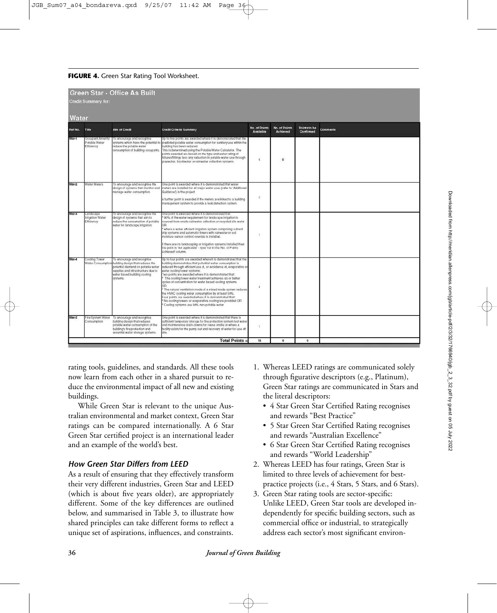#### **FIGURE 4.** Green Star Rating Tool Worksheet.

| <b>Green Star - Office As Built</b><br><b>Credit Summary for:</b> |                                                 |                                                                                                                                                                                                         |                                                                                                                                                                                                                                                                                                                                                                                                                                                                                                                                                                                                                                                                                                                     |                            |                           |                           |          |
|-------------------------------------------------------------------|-------------------------------------------------|---------------------------------------------------------------------------------------------------------------------------------------------------------------------------------------------------------|---------------------------------------------------------------------------------------------------------------------------------------------------------------------------------------------------------------------------------------------------------------------------------------------------------------------------------------------------------------------------------------------------------------------------------------------------------------------------------------------------------------------------------------------------------------------------------------------------------------------------------------------------------------------------------------------------------------------|----------------------------|---------------------------|---------------------------|----------|
| Water                                                             |                                                 |                                                                                                                                                                                                         |                                                                                                                                                                                                                                                                                                                                                                                                                                                                                                                                                                                                                                                                                                                     |                            |                           |                           |          |
| Ref No. Title                                                     |                                                 | <b>Aim of Credit</b>                                                                                                                                                                                    | <b>Credit Criteria Summary</b>                                                                                                                                                                                                                                                                                                                                                                                                                                                                                                                                                                                                                                                                                      | No. of Points<br>Available | No. of Points<br>Achieved | Points to be<br>Confirmed | Comments |
| Wat-1                                                             | Occupant Amenity<br>Potable Water<br>Efficiency | To encourage and recognise<br>systems which have the potential to<br>reduce the potable water<br>consumption of building occupants.                                                                     | Up to five points are awarded where it is demonstrated that the<br>predicted potable water consumption for sanitary use within the<br>building has been reduced<br>This is determined using the Potable Water Calculator. The<br>points awarded are based on the type and water rating of<br>fotures/fittings less any reduction in potable water use through<br>greywater, blackwater or rainwater collection systems.                                                                                                                                                                                                                                                                                             | 5                          | $\circ$                   |                           |          |
| Wat-2                                                             | Water Meters                                    | To encourage and recognise the<br>design of systems that monitor and<br>manage water consumption.                                                                                                       | One point is awarded where it is demonstrated that water<br>meters are installed for all major water uses (refer to 'Additional<br>Guidance') in the project.<br>A further point is awarded if the meters are linked to a building<br>management system to provide a leak detection system.                                                                                                                                                                                                                                                                                                                                                                                                                         | $\overline{2}$             |                           |                           |          |
| Wat-3                                                             | Landscape<br>Irrigation Water<br>Efficiency     | To encourage and recognise the<br>design of systems that aim to<br>reduce the consumption of potable<br>water for landscape inigation.                                                                  | One point is awarded where it is demonstrated that:<br>90% of the water requirement for landscape imigation is<br>sourced from onsite rainwater collection or recycled site water<br>OR<br>where a water efficient inigation system comprising subsoil<br>drip systems and automatic timers with rainwater or soil<br>molsture sensor control override is installed.<br>If there are no landscaping or irrigation systems installed then<br>the point is 'not applicable' - type 'na' in the 'No. of Points<br>Achieved' column                                                                                                                                                                                     | 1                          |                           |                           |          |
| Wat-4                                                             | Cooling Tower                                   | To encourage and recognise<br>Water Consumption building design that reduces the<br>potential demand on potable water<br>supplies and infrastructure due to<br>water based building cooling<br>systems. | Up to four points are awarded where it is demonstrated that the<br>building demonstrates that potential water consumption is<br>reduced through efficient use of, or avoidance of, evaporative or<br>water cooling tower systems:<br>Two points are awarded where it is demonstrated that:<br>The cooling tower water treatment achieves six or better<br>cycles of concentration for water based cooling systems<br>ЮR<br>* The natural vertiliation mode of a mixed mode system reduces<br>the HVAC cooling water consumption by at least 50%.<br>Four points are awarded where it is demonstrated that:<br>No cooling towers or evaporative cooling are provided CR<br>Cooling systems use 90% non-potable water | $\frac{1}{4}$              |                           |                           |          |
| Wat-5                                                             | Fire System Water<br>Consumption                | To encourage and recognise<br>building design that reduces<br>potable water consumption of the<br>building's fire protection and<br>essential water storage systems.                                    | One point is awarded where it is demonstrated that there is<br>sufficient temporary storage for fire protection system test water<br>and maintenance drain-downs for reuse onsite or where a<br>facility exists for the pump out and recovery of water for use off<br>offe                                                                                                                                                                                                                                                                                                                                                                                                                                          | $\mathbf{1}$               |                           |                           |          |
|                                                                   |                                                 |                                                                                                                                                                                                         | <b>Total Points =</b>                                                                                                                                                                                                                                                                                                                                                                                                                                                                                                                                                                                                                                                                                               | 13                         | $\mathbf{0}$              | $\Omega$                  |          |

rating tools, guidelines, and standards. All these tools now learn from each other in a shared pursuit to reduce the environmental impact of all new and existing buildings.

While Green Star is relevant to the unique Australian environmental and market context, Green Star ratings can be compared internationally. A 6 Star Green Star certified project is an international leader and an example of the world's best.

## *How Green Star Differs from LEED*

As a result of ensuring that they effectively transform their very different industries, Green Star and LEED (which is about five years older), are appropriately different. Some of the key differences are outlined below, and summarised in Table 3, to illustrate how shared principles can take different forms to reflect a unique set of aspirations, influences, and constraints.

- 1. Whereas LEED ratings are communicated solely through figurative descriptors (e.g., Platinum), Green Star ratings are communicated in Stars and the literal descriptors:
	- 4 Star Green Star Certified Rating recognises and rewards "Best Practice"
	- 5 Star Green Star Certified Rating recognises and rewards "Australian Excellence"
	- 6 Star Green Star Certified Rating recognises and rewards "World Leadership"
- 2. Whereas LEED has four ratings, Green Star is limited to three levels of achievement for bestpractice projects (i.e., 4 Stars, 5 Stars, and 6 Stars).
- 3. Green Star rating tools are sector-specific: Unlike LEED, Green Star tools are developed independently for specific building sectors, such as commercial office or industrial, to strategically address each sector's most significant environ-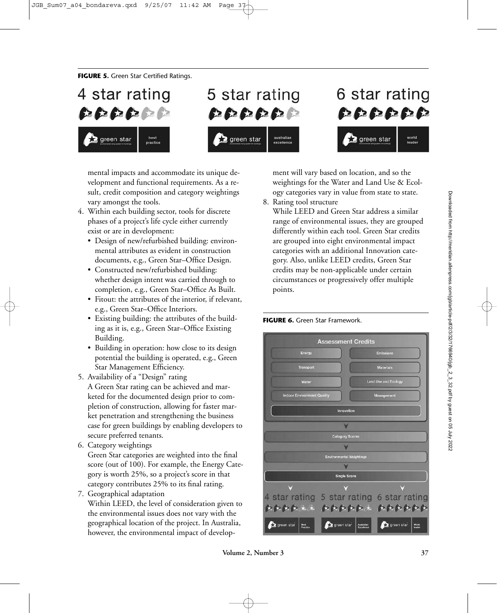**FIGURE 5.** Green Star Certified Ratings.





# 6 star rating いいいいいい green star world<br>leader

mental impacts and accommodate its unique development and functional requirements. As a result, credit composition and category weightings vary amongst the tools.

- 4. Within each building sector, tools for discrete phases of a project's life cycle either currently exist or are in development:
	- Design of new/refurbished building: environmental attributes as evident in construction documents, e.g., Green Star–Office Design.
	- Constructed new/refurbished building: whether design intent was carried through to completion, e.g., Green Star–Office As Built.
	- Fitout: the attributes of the interior, if relevant, e.g., Green Star–Office Interiors.
	- Existing building: the attributes of the building as it is, e.g., Green Star–Office Existing Building.
	- Building in operation: how close to its design potential the building is operated, e.g., Green Star Management Efficiency.
- 5. Availability of a "Design" rating A Green Star rating can be achieved and marketed for the documented design prior to completion of construction, allowing for faster market penetration and strengthening the business case for green buildings by enabling developers to secure preferred tenants.
- 6. Category weightings

Green Star categories are weighted into the final score (out of 100). For example, the Energy Category is worth 25%, so a project's score in that category contributes 25% to its final rating.

7. Geographical adaptation

Within LEED, the level of consideration given to the environmental issues does not vary with the geographical location of the project. In Australia, however, the environmental impact of development will vary based on location, and so the weightings for the Water and Land Use & Ecology categories vary in value from state to state.

8. Rating tool structure

While LEED and Green Star address a similar range of environmental issues, they are grouped differently within each tool. Green Star credits are grouped into eight environmental impact categories with an additional Innovation category. Also, unlike LEED credits, Green Star credits may be non-applicable under certain circumstances or progressively offer multiple points.



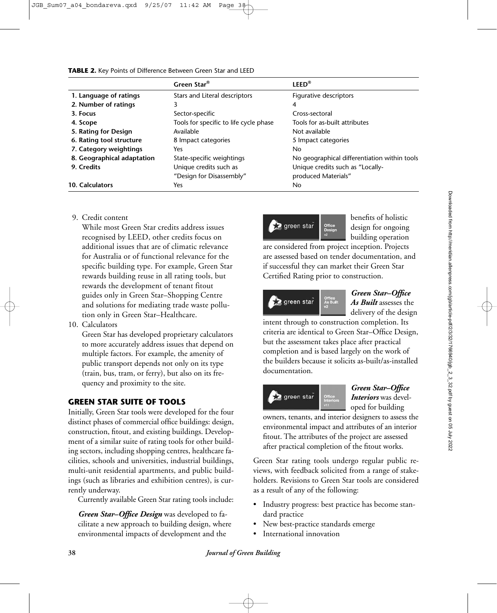|                            | Green Star®                            | $LEED^{\circledR}$                           |
|----------------------------|----------------------------------------|----------------------------------------------|
| 1. Language of ratings     | Stars and Literal descriptors          | Figurative descriptors                       |
| 2. Number of ratings       | 3                                      | 4                                            |
| 3. Focus                   | Sector-specific                        | Cross-sectoral                               |
| 4. Scope                   | Tools for specific to life cycle phase | Tools for as-built attributes                |
| 5. Rating for Design       | Available                              | Not available                                |
| 6. Rating tool structure   | 8 Impact categories                    | 5 Impact categories                          |
| 7. Category weightings     | <b>Yes</b>                             | No.                                          |
| 8. Geographical adaptation | State-specific weightings              | No geographical differentiation within tools |
| 9. Credits                 | Unique credits such as                 | Unique credits such as "Locally-             |
|                            | "Design for Disassembly"               | produced Materials"                          |
| 10. Calculators            | Yes                                    | No.                                          |

9. Credit content

While most Green Star credits address issues recognised by LEED, other credits focus on additional issues that are of climatic relevance for Australia or of functional relevance for the specific building type. For example, Green Star rewards building reuse in all rating tools, but rewards the development of tenant fitout guides only in Green Star–Shopping Centre and solutions for mediating trade waste pollution only in Green Star–Healthcare.

10. Calculators

Green Star has developed proprietary calculators to more accurately address issues that depend on multiple factors. For example, the amenity of public transport depends not only on its type (train, bus, tram, or ferry), but also on its frequency and proximity to the site.

# **GREEN STAR SUITE OF TOOLS**

Initially, Green Star tools were developed for the four distinct phases of commercial office buildings: design, construction, fitout, and existing buildings. Development of a similar suite of rating tools for other building sectors, including shopping centres, healthcare facilities, schools and universities, industrial buildings, multi-unit residential apartments, and public buildings (such as libraries and exhibition centres), is currently underway.

Currently available Green Star rating tools include:

*Green Star–Office Design* was developed to facilitate a new approach to building design, where environmental impacts of development and the



benefits of holistic design for ongoing building operation

are considered from project inception. Projects are assessed based on tender documentation, and if successful they can market their Green Star Certified Rating prior to construction.



## *Green Star–Office As Built* assesses the delivery of the design

intent through to construction completion. Its criteria are identical to Green Star–Office Design, but the assessment takes place after practical completion and is based largely on the work of the builders because it solicits as-built/as-installed documentation.



## *Green Star–Office Interiors* was developed for building

owners, tenants, and interior designers to assess the environmental impact and attributes of an interior fitout. The attributes of the project are assessed after practical completion of the fitout works.

Green Star rating tools undergo regular public reviews, with feedback solicited from a range of stakeholders. Revisions to Green Star tools are considered as a result of any of the following:

- Industry progress: best practice has become standard practice
- New best-practice standards emerge
- International innovation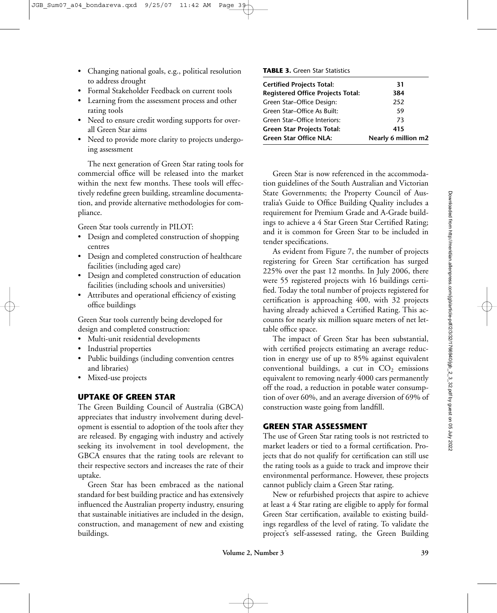- Changing national goals, e.g., political resolution to address drought
- Formal Stakeholder Feedback on current tools
- Learning from the assessment process and other rating tools
- Need to ensure credit wording supports for overall Green Star aims
- Need to provide more clarity to projects undergoing assessment

The next generation of Green Star rating tools for commercial office will be released into the market within the next few months. These tools will effectively redefine green building, streamline documentation, and provide alternative methodologies for compliance.

Green Star tools currently in PILOT:

- Design and completed construction of shopping centres
- Design and completed construction of healthcare facilities (including aged care)
- Design and completed construction of education facilities (including schools and universities)
- Attributes and operational efficiency of existing office buildings

Green Star tools currently being developed for design and completed construction:

- Multi-unit residential developments
- Industrial properties
- Public buildings (including convention centres and libraries)
- Mixed-use projects

## **UPTAKE OF GREEN STAR**

The Green Building Council of Australia (GBCA) appreciates that industry involvement during development is essential to adoption of the tools after they are released. By engaging with industry and actively seeking its involvement in tool development, the GBCA ensures that the rating tools are relevant to their respective sectors and increases the rate of their uptake.

Green Star has been embraced as the national standard for best building practice and has extensively influenced the Australian property industry, ensuring that sustainable initiatives are included in the design, construction, and management of new and existing buildings.

#### **TABLE 3.** Green Star Statistics

| <b>Certified Projects Total:</b>         | 31                  |
|------------------------------------------|---------------------|
| <b>Registered Office Projects Total:</b> | 384                 |
| Green Star-Office Design:                | 252                 |
| Green Star-Office As Built:              | 59                  |
| Green Star-Office Interiors:             | 73                  |
| <b>Green Star Projects Total:</b>        | 415                 |
| <b>Green Star Office NLA:</b>            | Nearly 6 million m2 |

Green Star is now referenced in the accommodation guidelines of the South Australian and Victorian State Governments; the Property Council of Australia's Guide to Office Building Quality includes a requirement for Premium Grade and A-Grade buildings to achieve a 4 Star Green Star Certified Rating; and it is common for Green Star to be included in tender specifications.

As evident from Figure 7, the number of projects registering for Green Star certification has surged 225% over the past 12 months. In July 2006, there were 55 registered projects with 16 buildings certified. Today the total number of projects registered for certification is approaching 400, with 32 projects having already achieved a Certified Rating. This accounts for nearly six million square meters of net lettable office space.

The impact of Green Star has been substantial, with certified projects estimating an average reduction in energy use of up to 85% against equivalent conventional buildings, a cut in  $CO<sub>2</sub>$  emissions equivalent to removing nearly 4000 cars permanently off the road, a reduction in potable water consumption of over 60%, and an average diversion of 69% of construction waste going from landfill.

## **GREEN STAR ASSESSMENT**

The use of Green Star rating tools is not restricted to market leaders or tied to a formal certification. Projects that do not qualify for certification can still use the rating tools as a guide to track and improve their environmental performance. However, these projects cannot publicly claim a Green Star rating.

New or refurbished projects that aspire to achieve at least a 4 Star rating are eligible to apply for formal Green Star certification, available to existing buildings regardless of the level of rating. To validate the project's self-assessed rating, the Green Building